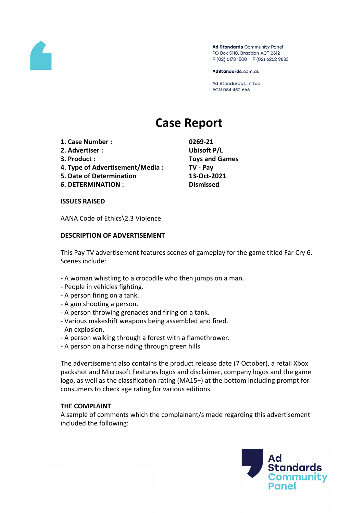

Ad Standards Community Panel PO Box 5110, Braddon ACT 2612 P (02) 6173 1500 | F (02) 6262 9833

AdStandards.com.au

Ad Standards Limited ACN 084 452 666

# **Case Report**

- **1. Case Number : 0269-21**
- **2. Advertiser : Ubisoft P/L**
- 
- **4. Type of Advertisement/Media : TV - Pay**
- **5. Date of Determination 13-Oct-2021**
- **6. DETERMINATION : Dismissed**

**3. Product : Toys and Games**

#### **ISSUES RAISED**

AANA Code of Ethics\2.3 Violence

## **DESCRIPTION OF ADVERTISEMENT**

This Pay TV advertisement features scenes of gameplay for the game titled Far Cry 6. Scenes include:

- A woman whistling to a crocodile who then jumps on a man.
- People in vehicles fighting.
- A person firing on a tank.
- A gun shooting a person.
- A person throwing grenades and firing on a tank.
- Various makeshift weapons being assembled and fired.
- An explosion.
- A person walking through a forest with a flamethrower.
- A person on a horse riding through green hills.

The advertisement also contains the product release date (7 October), a retail Xbox packshot and Microsoft Features logos and disclaimer, company logos and the game logo, as well as the classification rating (MA15+) at the bottom including prompt for consumers to check age rating for various editions.

## **THE COMPLAINT**

A sample of comments which the complainant/s made regarding this advertisement included the following:

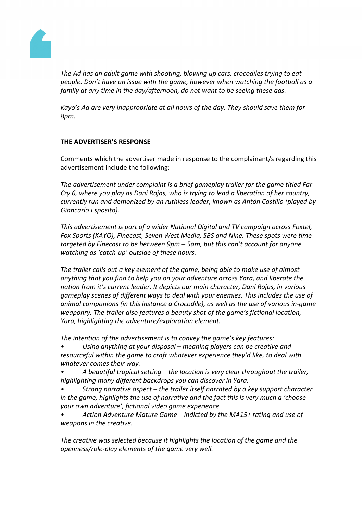

*The Ad has an adult game with shooting, blowing up cars, crocodiles trying to eat people. Don't have an issue with the game, however when watching the football as a family at any time in the day/afternoon, do not want to be seeing these ads.*

*Kayo's Ad are very inappropriate at all hours of the day. They should save them for 8pm.*

## **THE ADVERTISER'S RESPONSE**

Comments which the advertiser made in response to the complainant/s regarding this advertisement include the following:

*The advertisement under complaint is a brief gameplay trailer for the game titled Far Cry 6, where you play as Dani Rojas, who is trying to lead a liberation of her country, currently run and demonized by an ruthless leader, known as Antón Castillo (played by Giancarlo Esposito).*

*This advertisement is part of a wider National Digital and TV campaign across Foxtel, Fox Sports (KAYO), Finecast, Seven West Media, SBS and Nine. These spots were time targeted by Finecast to be between 9pm – 5am, but this can't account for anyone watching as 'catch-up' outside of these hours.*

*The trailer calls out a key element of the game, being able to make use of almost anything that you find to help you on your adventure across Yara, and liberate the nation from it's current leader. It depicts our main character, Dani Rojas, in various gameplay scenes of different ways to deal with your enemies. This includes the use of animal companions (in this instance a Crocodile), as well as the use of various in-game weaponry. The trailer also features a beauty shot of the game's fictional location, Yara, highlighting the adventure/exploration element.*

*The intention of the advertisement is to convey the game's key features:*

*• Using anything at your disposal – meaning players can be creative and resourceful within the game to craft whatever experience they'd like, to deal with whatever comes their way.*

- *• A beautiful tropical setting – the location is very clear throughout the trailer, highlighting many different backdrops you can discover in Yara.*
- *• Strong narrative aspect – the trailer itself narrated by a key support character in the game, highlights the use of narrative and the fact this is very much a 'choose your own adventure', fictional video game experience*
- *• Action Adventure Mature Game – indicted by the MA15+ rating and use of weapons in the creative.*

*The creative was selected because it highlights the location of the game and the openness/role-play elements of the game very well.*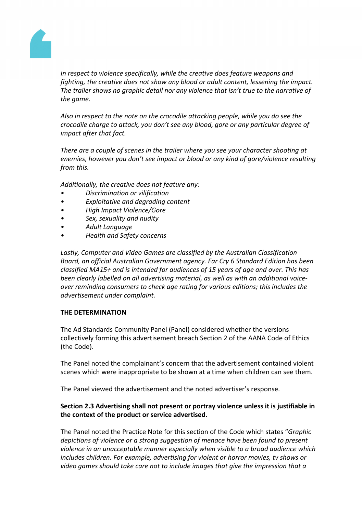

*In respect to violence specifically, while the creative does feature weapons and fighting, the creative does not show any blood or adult content, lessening the impact. The trailer shows no graphic detail nor any violence that isn't true to the narrative of the game.*

*Also in respect to the note on the crocodile attacking people, while you do see the crocodile charge to attack, you don't see any blood, gore or any particular degree of impact after that fact.*

*There are a couple of scenes in the trailer where you see your character shooting at enemies, however you don't see impact or blood or any kind of gore/violence resulting from this.*

*Additionally, the creative does not feature any:*

- *Discrimination or vilification*
- *Exploitative and degrading content*
- *High Impact Violence/Gore*
- *Sex, sexuality and nudity*
- *Adult Language*
- *Health and Safety concerns*

*Lastly, Computer and Video Games are classified by the Australian Classification Board, an official Australian Government agency. Far Cry 6 Standard Edition has been classified MA15+ and is intended for audiences of 15 years of age and over. This has been clearly labelled on all advertising material, as well as with an additional voiceover reminding consumers to check age rating for various editions; this includes the advertisement under complaint.*

## **THE DETERMINATION**

The Ad Standards Community Panel (Panel) considered whether the versions collectively forming this advertisement breach Section 2 of the AANA Code of Ethics (the Code).

The Panel noted the complainant's concern that the advertisement contained violent scenes which were inappropriate to be shown at a time when children can see them.

The Panel viewed the advertisement and the noted advertiser's response.

## **Section 2.3 Advertising shall not present or portray violence unless it is justifiable in the context of the product or service advertised.**

The Panel noted the Practice Note for this section of the Code which states "*Graphic depictions of violence or a strong suggestion of menace have been found to present violence in an unacceptable manner especially when visible to a broad audience which includes children. For example, advertising for violent or horror movies, tv shows or video games should take care not to include images that give the impression that a*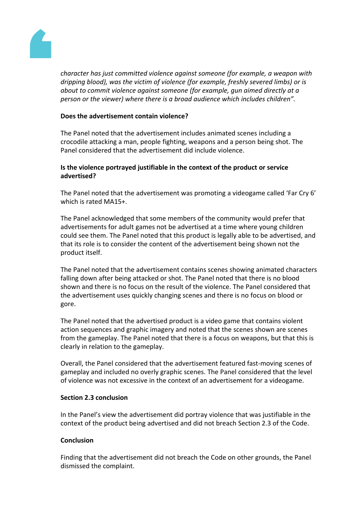

*character has just committed violence against someone (for example, a weapon with dripping blood), was the victim of violence (for example, freshly severed limbs) or is about to commit violence against someone (for example, gun aimed directly at a person or the viewer) where there is a broad audience which includes children".*

## **Does the advertisement contain violence?**

The Panel noted that the advertisement includes animated scenes including a crocodile attacking a man, people fighting, weapons and a person being shot. The Panel considered that the advertisement did include violence.

## **Is the violence portrayed justifiable in the context of the product or service advertised?**

The Panel noted that the advertisement was promoting a videogame called 'Far Cry 6' which is rated MA15+.

The Panel acknowledged that some members of the community would prefer that advertisements for adult games not be advertised at a time where young children could see them. The Panel noted that this product is legally able to be advertised, and that its role is to consider the content of the advertisement being shown not the product itself.

The Panel noted that the advertisement contains scenes showing animated characters falling down after being attacked or shot. The Panel noted that there is no blood shown and there is no focus on the result of the violence. The Panel considered that the advertisement uses quickly changing scenes and there is no focus on blood or gore.

The Panel noted that the advertised product is a video game that contains violent action sequences and graphic imagery and noted that the scenes shown are scenes from the gameplay. The Panel noted that there is a focus on weapons, but that this is clearly in relation to the gameplay.

Overall, the Panel considered that the advertisement featured fast-moving scenes of gameplay and included no overly graphic scenes. The Panel considered that the level of violence was not excessive in the context of an advertisement for a videogame.

## **Section 2.3 conclusion**

In the Panel's view the advertisement did portray violence that was justifiable in the context of the product being advertised and did not breach Section 2.3 of the Code.

## **Conclusion**

Finding that the advertisement did not breach the Code on other grounds, the Panel dismissed the complaint.